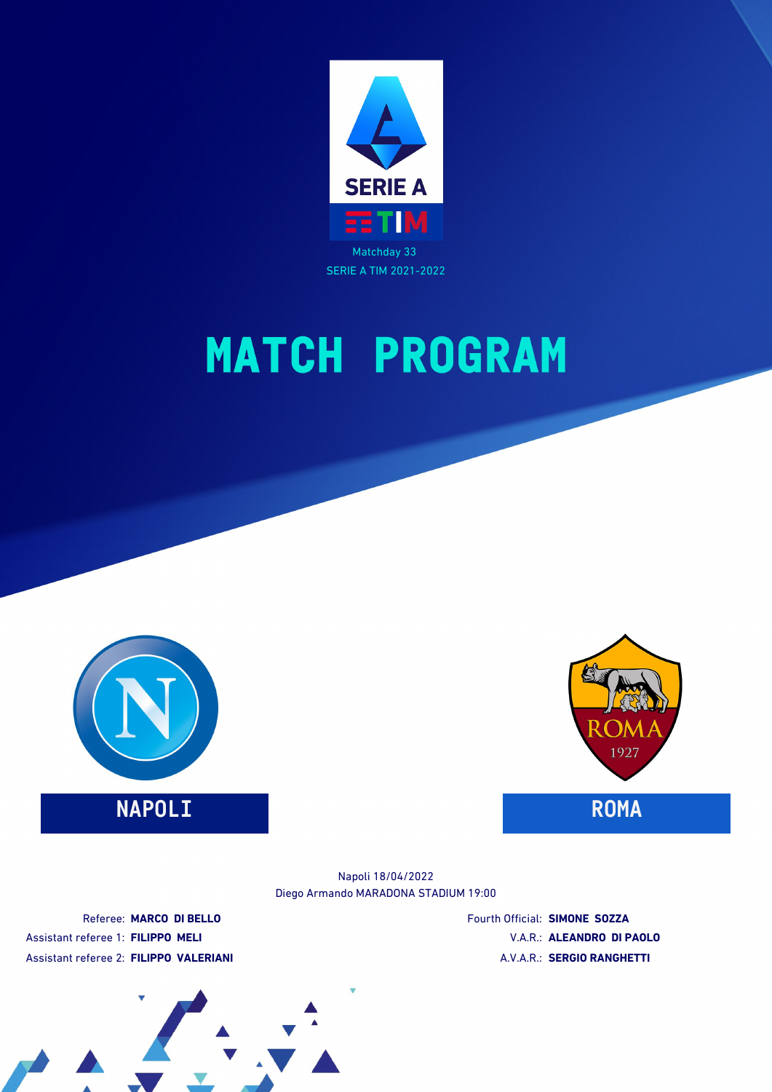



### **NAPOLI ROMA**



Diego Armando MARADONA STADIUM 19:00 Napoli 18/04/2022

Referee: **MARCO DI BELLO** Assistant referee 1: **FILIPPO MELI** Assistant referee 2: **FILIPPO VALERIANI** Fourth Official: **SIMONE SOZZA** V.A.R.: **ALEANDRO DI PAOLO** A.V.A.R.: **SERGIO RANGHETTI**

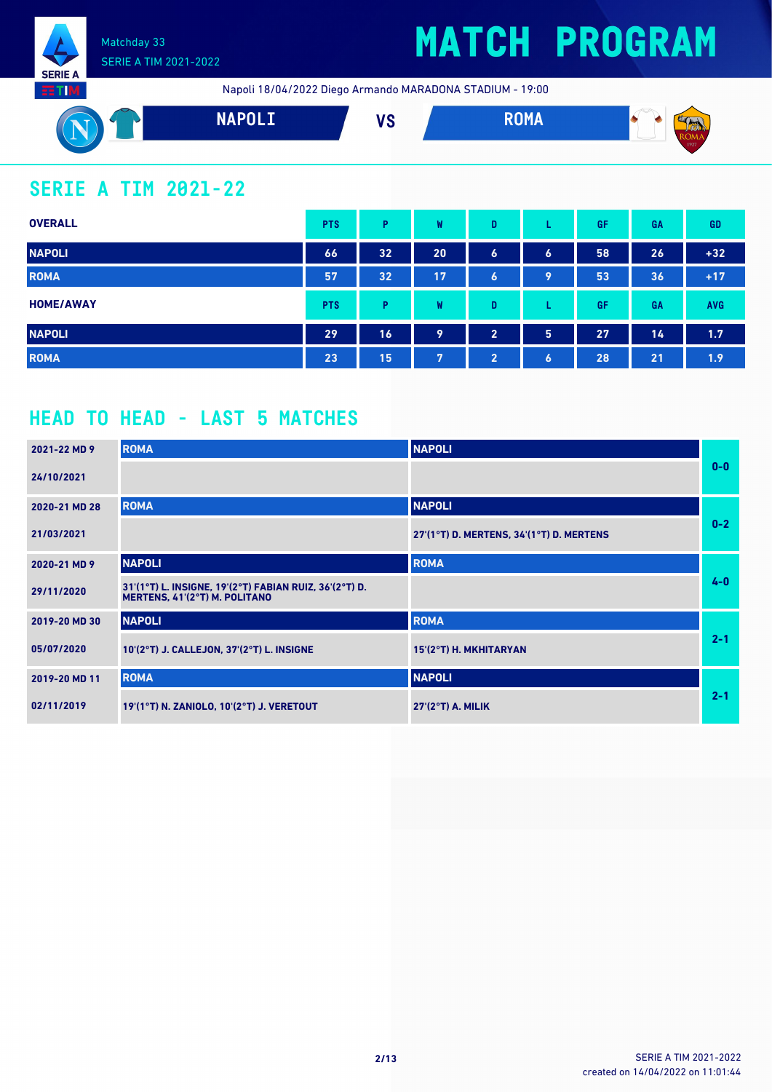

## **MATCH PROGRAM**

Napoli 18/04/2022 Diego Armando MARADONA STADIUM - 19:00



### **SERIE A TIM 2021-22**

| <b>OVERALL</b>   | <b>PTS</b> | P  | W  | D                     |                  | GF | GA | <b>GD</b>  |
|------------------|------------|----|----|-----------------------|------------------|----|----|------------|
| <b>NAPOLI</b>    | 66         | 32 | 20 | $\bullet$             | $\boldsymbol{6}$ | 58 | 26 | $+32$      |
| <b>ROMA</b>      | 57         | 32 | 17 | $\bullet$             | 9                | 53 | 36 | $+17$      |
| <b>HOME/AWAY</b> | <b>PTS</b> | P  | W  | D                     | ┗                | GF | GA | <b>AVG</b> |
| <b>NAPOLI</b>    | 29         | 16 | 9  | $\overline{2}$        | 5                | 27 | 14 | 1.7        |
| <b>ROMA</b>      | 23         | 15 | 7  | $\mathbf{2}^{\prime}$ | $\boldsymbol{6}$ | 28 | 21 | 1.9        |

### **HEAD TO HEAD - LAST 5 MATCHES**

| 2021-22 MD 9  | <b>ROMA</b>                                                                             | <b>NAPOLI</b>                            |         |
|---------------|-----------------------------------------------------------------------------------------|------------------------------------------|---------|
| 24/10/2021    |                                                                                         |                                          | $0 - 0$ |
| 2020-21 MD 28 | <b>ROMA</b>                                                                             | <b>NAPOLI</b>                            |         |
| 21/03/2021    |                                                                                         | 27'(1°T) D. MERTENS, 34'(1°T) D. MERTENS | $0-2$   |
| 2020-21 MD 9  | <b>NAPOLI</b>                                                                           | <b>ROMA</b>                              |         |
| 29/11/2020    | 31'(1°T) L. INSIGNE, 19'(2°T) FABIAN RUIZ, 36'(2°T) D.<br>MERTENS, 41'(2°T) M. POLITANO |                                          | $4 - 0$ |
| 2019-20 MD 30 | <b>NAPOLI</b>                                                                           | <b>ROMA</b>                              |         |
| 05/07/2020    | 10'(2°T) J. CALLEJON, 37'(2°T) L. INSIGNE                                               | 15'(2°T) H. MKHITARYAN                   | $2 - 1$ |
| 2019-20 MD 11 | <b>ROMA</b>                                                                             | <b>NAPOLI</b>                            |         |
| 02/11/2019    | 19'(1°T) N. ZANIOLO, 10'(2°T) J. VERETOUT                                               | $27(2°T)$ A. MILIK                       | $2 - 1$ |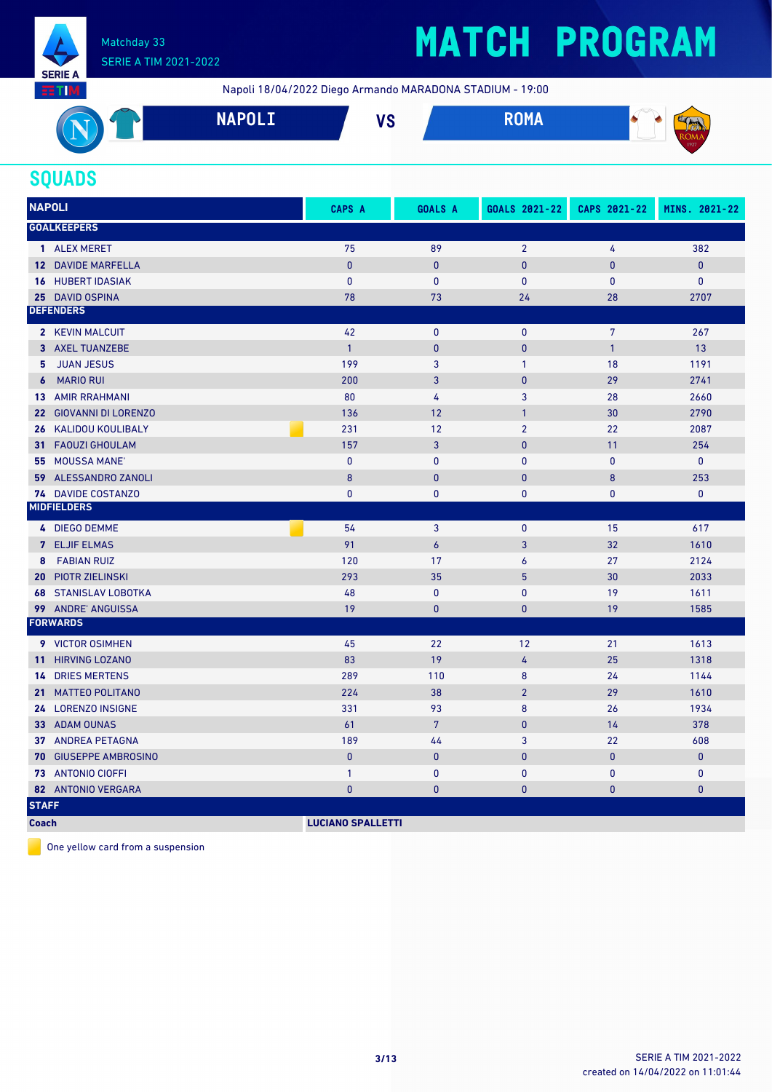

Napoli 18/04/2022 Diego Armando MARADONA STADIUM - 19:00



#### **SQUADS**

| <b>NAPOLI</b>                                 | CAPS A                   | <b>GOALS A</b>   | GOALS 2021-22  | CAPS 2021-22   | MINS. 2021-22 |
|-----------------------------------------------|--------------------------|------------------|----------------|----------------|---------------|
| <b>GOALKEEPERS</b>                            |                          |                  |                |                |               |
| 1 ALEX MERET                                  | 75                       | 89               | $\overline{2}$ | 4              | 382           |
| 12 DAVIDE MARFELLA                            | $\pmb{0}$                | $\mathbf{0}$     | $\pmb{0}$      | $\bf{0}$       | $\pmb{0}$     |
| <b>HUBERT IDASIAK</b><br>16                   | $\mathbf{0}$             | $\mathbf{0}$     | $\mathbf{0}$   | $\mathbf{0}$   | $\mathbf{0}$  |
| 25 DAVID OSPINA                               | 78                       | 73               | 24             | 28             | 2707          |
| <b>DEFENDERS</b>                              |                          |                  |                |                |               |
| 2 KEVIN MALCUIT                               | 42                       | $\mathbf{0}$     | $\mathbf{0}$   | $\overline{7}$ | 267           |
| 3 AXEL TUANZEBE                               | $\overline{1}$           | $\bf{0}$         | $\mathbf{0}$   | $\mathbf{1}$   | 13            |
| <b>JUAN JESUS</b><br>5                        | 199                      | 3                | $\mathbf{1}$   | 18             | 1191          |
| <b>MARIO RUI</b><br>$\boldsymbol{6}$          | 200                      | 3                | $\mathbf{0}$   | 29             | 2741          |
| <b>13 AMIR RRAHMANI</b>                       | 80                       | 4                | 3              | 28             | 2660          |
| <b>GIOVANNI DI LORENZO</b><br>22 <sub>2</sub> | 136                      | 12               | $\mathbf{1}$   | 30             | 2790          |
| KALIDOU KOULIBALY<br>26                       | 231                      | 12               | $\overline{2}$ | 22             | 2087          |
| <b>FAOUZI GHOULAM</b><br>31.                  | 157                      | 3                | $\mathbf{0}$   | 11             | 254           |
| 55 MOUSSA MANE'                               | $\mathbf{0}$             | $\mathbf{0}$     | $\mathbf{0}$   | $\overline{0}$ | $\mathbf{0}$  |
| ALESSANDRO ZANOLI<br>59                       | 8                        | $\pmb{0}$        | $\mathbf{0}$   | 8              | 253           |
| 74 DAVIDE COSTANZO                            | $\mathbf{0}$             | $\mathbf{0}$     | $\mathbf{0}$   | 0              | $\mathbf{0}$  |
| <b>MIDFIELDERS</b>                            |                          |                  |                |                |               |
| 4 DIEGO DEMME                                 | 54                       | 3                | $\mathbf{0}$   | 15             | 617           |
| 7 ELJIF ELMAS                                 | 91                       | $\boldsymbol{6}$ | 3              | 32             | 1610          |
| <b>FABIAN RUIZ</b><br>8                       | 120                      | 17               | 6              | 27             | 2124          |
| <b>PIOTR ZIELINSKI</b><br>20                  | 293                      | 35               | 5              | 30             | 2033          |
| <b>STANISLAV LOBOTKA</b><br>68                | 48                       | $\pmb{0}$        | $\pmb{0}$      | 19             | 1611          |
| 99 ANDRE' ANGUISSA                            | 19                       | $\bf{0}$         | $\pmb{0}$      | 19             | 1585          |
| <b>FORWARDS</b>                               |                          |                  |                |                |               |
| 9 VICTOR OSIMHEN                              | 45                       | 22               | 12             | 21             | 1613          |
| <b>HIRVING LOZANO</b><br>11                   | 83                       | 19               | 4              | 25             | 1318          |
| <b>DRIES MERTENS</b><br>14                    | 289                      | 110              | 8              | 24             | 1144          |
| <b>MATTEO POLITANO</b><br>21 <sup>1</sup>     | 224                      | 38               | $\overline{2}$ | 29             | 1610          |
| 24 LORENZO INSIGNE                            | 331                      | 93               | 8              | 26             | 1934          |
| 33 ADAM OUNAS                                 | 61                       | $\overline{7}$   | $\mathbf{0}$   | 14             | 378           |
| 37 ANDREA PETAGNA                             | 189                      | 44               | 3              | 22             | 608           |
| <b>GIUSEPPE AMBROSINO</b><br>70               | $\mathbf{0}$             | $\mathbf{0}$     | $\mathbf{0}$   | $\mathbf{0}$   | $\mathbf{0}$  |
| 73 ANTONIO CIOFFI                             | $\mathbf{1}$             | $\mathbf 0$      | $\mathbf{0}$   | $\mathbf{0}$   | $\mathbf 0$   |
| 82 ANTONIO VERGARA                            | $\mathbf 0$              | $\pmb{0}$        | $\pmb{0}$      | $\bf{0}$       | $\mathbf{0}$  |
| <b>STAFF</b>                                  |                          |                  |                |                |               |
| <b>Coach</b>                                  | <b>LUCIANO SPALLETTI</b> |                  |                |                |               |

One yellow card from a suspension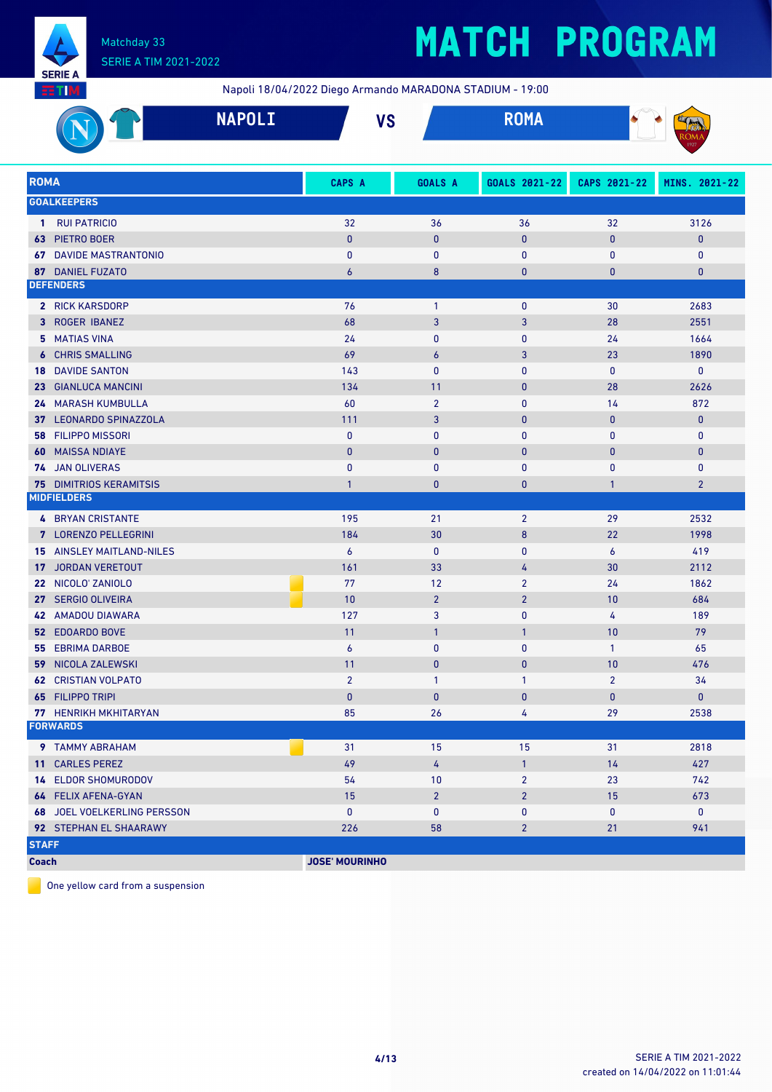

# **MATCH PROGRAM**

Napoli 18/04/2022 Diego Armando MARADONA STADIUM - 19:00

| _______        |                                  |                    |               |      |
|----------------|----------------------------------|--------------------|---------------|------|
| <b>PARTIES</b> | <b>NAPNIT</b><br><b>INAL OFT</b> | 1 <i>10</i><br>, , | <b>NUI'IA</b> | --   |
|                |                                  |                    |               | 1927 |

| <b>ROMA</b>                        | CAPS A                | <b>GOALS A</b>   | GOALS 2021-22  | CAPS 2021-22   | MINS. 2021-22  |
|------------------------------------|-----------------------|------------------|----------------|----------------|----------------|
| <b>GOALKEEPERS</b>                 |                       |                  |                |                |                |
| 1 RUI PATRICIO                     | 32                    | 36               | 36             | 32             | 3126           |
| PIETRO BOER<br>63                  | $\bf{0}$              | $\mathbf{0}$     | $\pmb{0}$      | $\pmb{0}$      | 0              |
| <b>67 DAVIDE MASTRANTONIO</b>      | 0                     | $\bf{0}$         | 0              | 0              | 0              |
| 87 DANIEL FUZATO                   | 6                     | 8                | $\pmb{0}$      | 0              | 0              |
| <b>DEFENDERS</b>                   |                       |                  |                |                |                |
| 2 RICK KARSDORP                    | 76                    | $\mathbf{1}$     | 0              | 30             | 2683           |
| 3 ROGER IBANEZ                     | 68                    | 3                | 3              | 28             | 2551           |
| 5 MATIAS VINA                      | 24                    | 0                | 0              | 24             | 1664           |
| <b>6 CHRIS SMALLING</b>            | 69                    | $\boldsymbol{6}$ | 3              | 23             | 1890           |
| <b>18 DAVIDE SANTON</b>            | 143                   | $\mathbf{0}$     | 0              | 0              | 0              |
| 23 GIANLUCA MANCINI                | 134                   | 11               | $\pmb{0}$      | 28             | 2626           |
| 24 MARASH KUMBULLA                 | 60                    | $\overline{2}$   | 0              | 14             | 872            |
| 37 LEONARDO SPINAZZOLA             | 111                   | 3                | $\pmb{0}$      | $\mathbf{0}$   | $\mathbf{0}$   |
| <b>FILIPPO MISSORI</b><br>58       | $\mathbf{0}$          | $\mathbf{0}$     | $\mathbf{0}$   | $\mathbf{0}$   | 0              |
| <b>60 MAISSA NDIAYE</b>            | $\mathbf{0}$          | $\mathbf{0}$     | $\mathbf{0}$   | $\mathbf{0}$   | 0              |
| 74 JAN OLIVERAS                    | $\mathbf{0}$          | 0                | $\mathbf{0}$   | $\mathbf{0}$   | 0              |
| <b>75 DIMITRIOS KERAMITSIS</b>     | $\mathbf{1}$          | 0                | $\pmb{0}$      | $\mathbf{1}$   | $\overline{2}$ |
| <b>MIDFIELDERS</b>                 |                       |                  |                |                |                |
| <b>4 BRYAN CRISTANTE</b>           | 195                   | 21               | $\overline{2}$ | 29             | 2532           |
| 7 LORENZO PELLEGRINI               | 184                   | 30               | $\bf 8$        | 22             | 1998           |
| <b>15 AINSLEY MAITLAND-NILES</b>   | 6                     | $\mathbf{0}$     | 0              | 6              | 419            |
| 17 JORDAN VERETOUT                 | 161                   | 33               | 4              | 30             | 2112           |
| 22 NICOLO' ZANIOLO                 | 77                    | 12               | $\overline{2}$ | 24             | 1862           |
| 27 SERGIO OLIVEIRA                 | 10                    | $\overline{2}$   | $\overline{2}$ | 10             | 684            |
| 42 AMADOU DIAWARA                  | 127                   | 3                | $\pmb{0}$      | 4              | 189            |
| <b>52 EDOARDO BOVE</b>             | 11                    | $\mathbf{1}$     | $\mathbf{1}$   | 10             | 79             |
| <b>55 EBRIMA DARBOE</b>            | 6                     | 0                | 0              | $\mathbf{1}$   | 65             |
| <b>59 NICOLA ZALEWSKI</b>          | 11                    | $\mathbf{0}$     | $\pmb{0}$      | 10             | 476            |
| <b>62 CRISTIAN VOLPATO</b>         | $\overline{2}$        | $\mathbf{1}$     | $\mathbf{1}$   | $\overline{2}$ | 34             |
| <b>65 FILIPPO TRIPI</b>            | $\bf{0}$              | $\bf{0}$         | $\pmb{0}$      | $\mathbf{0}$   | $\mathbf 0$    |
| 77 HENRIKH MKHITARYAN              | 85                    | 26               | 4              | 29             | 2538           |
| <b>FORWARDS</b>                    |                       |                  |                |                |                |
| <b>9 TAMMY ABRAHAM</b>             | 31                    | 15               | 15             | 31             | 2818           |
| 11 CARLES PEREZ                    | 49                    | 4                | $\mathbf{1}$   | 14             | 427            |
| <b>14 ELDOR SHOMURODOV</b>         | 54                    | 10               | $\overline{2}$ | 23             | 742            |
| 64 FELIX AFENA-GYAN                | 15                    | 2 <sup>2</sup>   | $\overline{2}$ | 15             | 673            |
| <b>68 JOEL VOELKERLING PERSSON</b> | $\pmb{0}$             | $\bf{0}$         | $\pmb{0}$      | 0              | 0              |
| 92 STEPHAN EL SHAARAWY             | 226                   | 58               | $\overline{2}$ | 21             | 941            |
| <b>STAFF</b>                       |                       |                  |                |                |                |
| <b>Coach</b>                       | <b>JOSE' MOURINHO</b> |                  |                |                |                |

One yellow card from a suspension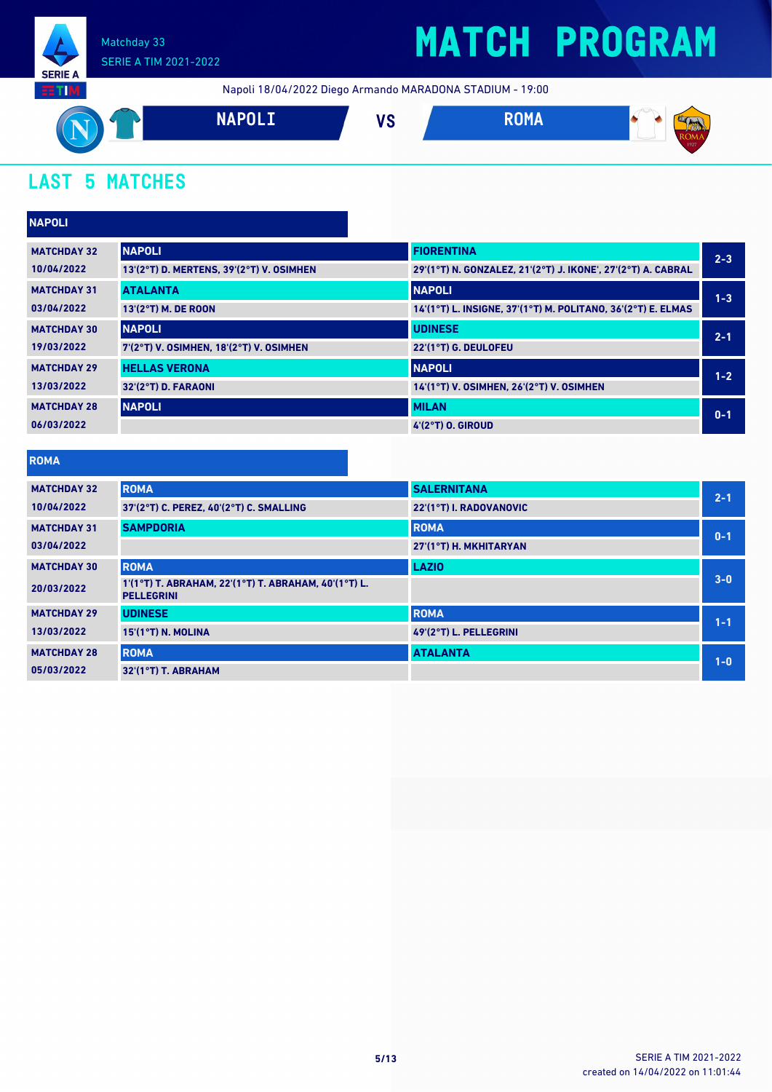

Napoli 18/04/2022 Diego Armando MARADONA STADIUM - 19:00



### **LAST 5 MATCHES**

| <b>NAPOLI</b>      |                                          |                                                              |         |
|--------------------|------------------------------------------|--------------------------------------------------------------|---------|
| <b>MATCHDAY 32</b> | <b>NAPOLI</b>                            | <b>FIORENTINA</b>                                            | $2 - 3$ |
| 10/04/2022         | 13'(2°T) D. MERTENS, 39'(2°T) V. OSIMHEN | 29'(1°T) N. GONZALEZ, 21'(2°T) J. IKONE', 27'(2°T) A. CABRAL |         |
| <b>MATCHDAY 31</b> | <b>ATALANTA</b>                          | <b>NAPOLI</b>                                                | $1 - 3$ |
| 03/04/2022         | 13'(2°T) M. DE ROON                      | 14'(1°T) L. INSIGNE, 37'(1°T) M. POLITANO, 36'(2°T) E. ELMAS |         |
| <b>MATCHDAY 30</b> | <b>NAPOLI</b>                            | <b>UDINESE</b>                                               | $2 - 1$ |
| 19/03/2022         | 7'(2°T) V. OSIMHEN, 18'(2°T) V. OSIMHEN  | 22'(1°T) G. DEULOFEU                                         |         |
| <b>MATCHDAY 29</b> | <b>HELLAS VERONA</b>                     | <b>NAPOLI</b>                                                | $1 - 2$ |
| 13/03/2022         | 32'(2°T) D. FARAONI                      | 14'(1°T) V. OSIMHEN, 26'(2°T) V. OSIMHEN                     |         |
| <b>MATCHDAY 28</b> | <b>NAPOLI</b>                            | <b>MILAN</b>                                                 | $0 - 1$ |
| 06/03/2022         |                                          | 4'(2°T) O. GIROUD                                            |         |

#### **ROMA**

| <b>MATCHDAY 32</b> | <b>ROMA</b>                                                               | <b>SALERNITANA</b>      | $2 - 1$ |
|--------------------|---------------------------------------------------------------------------|-------------------------|---------|
| 10/04/2022         | 37'(2°T) C. PEREZ, 40'(2°T) C. SMALLING                                   | 22'(1°T) I. RADOVANOVIC |         |
| <b>MATCHDAY 31</b> | <b>SAMPDORIA</b>                                                          | <b>ROMA</b>             | $0 - 1$ |
| 03/04/2022         |                                                                           | 27'(1°T) H. MKHITARYAN  |         |
| <b>MATCHDAY 30</b> | <b>ROMA</b>                                                               | <b>LAZIO</b>            |         |
| 20/03/2022         | 1'(1°T) T. ABRAHAM, 22'(1°T) T. ABRAHAM, 40'(1°T) L.<br><b>PELLEGRINI</b> |                         | $3 - 0$ |
| <b>MATCHDAY 29</b> | <b>UDINESE</b>                                                            | <b>ROMA</b>             | $1 - 1$ |
| 13/03/2022         | 15'(1°T) N. MOLINA                                                        | 49'(2°T) L. PELLEGRINI  |         |
| <b>MATCHDAY 28</b> | <b>ROMA</b>                                                               | <b>ATALANTA</b>         | $1 - 0$ |
| 05/03/2022         | 32'(1°T) T. ABRAHAM                                                       |                         |         |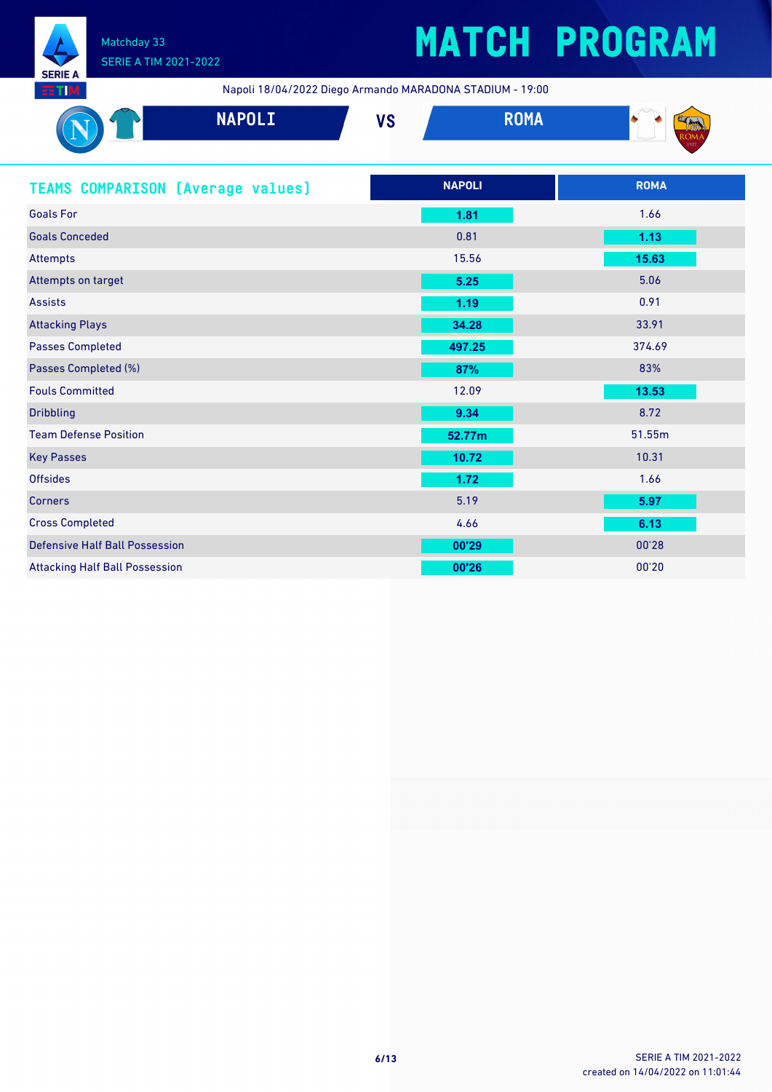

# **MATCH PROGRAM**

Napoli 18/04/2022 Diego Armando MARADONA STADIUM - 19:00

| 33 M                                     | Napoli 18/04/2022 Diego Armando MARADONA STADIOM - 19:00 |             |             |  |
|------------------------------------------|----------------------------------------------------------|-------------|-------------|--|
| <b>NAPOLI</b>                            | <b>VS</b>                                                | <b>ROMA</b> |             |  |
| <b>TEAMS COMPARISON (Average values)</b> | <b>NAPOLI</b>                                            |             | <b>ROMA</b> |  |
| <b>Goals For</b>                         | 1.81                                                     |             | 1.66        |  |
| <b>Goals Conceded</b>                    | 0.81                                                     |             | 1.13        |  |
| <b>Attempts</b>                          | 15.56                                                    |             | 15.63       |  |
| Attempts on target                       | 5.25                                                     |             | 5.06        |  |
| <b>Assists</b>                           | 1.19                                                     |             | 0.91        |  |
| <b>Attacking Plays</b>                   | 34.28                                                    |             | 33.91       |  |
| <b>Passes Completed</b>                  | 497.25                                                   |             | 374.69      |  |
| Passes Completed (%)                     | 87%                                                      |             | 83%         |  |
| <b>Fouls Committed</b>                   | 12.09                                                    |             | 13.53       |  |
| <b>Dribbling</b>                         | 9.34                                                     |             | 8.72        |  |
| <b>Team Defense Position</b>             | 52.77m                                                   |             | 51.55m      |  |
| <b>Key Passes</b>                        | 10.72                                                    |             | 10.31       |  |
| <b>Offsides</b>                          | 1.72                                                     |             | 1.66        |  |
| <b>Corners</b>                           | 5.19                                                     |             | 5.97        |  |
| <b>Cross Completed</b>                   | 4.66                                                     |             | 6.13        |  |
| <b>Defensive Half Ball Possession</b>    | 00'29                                                    |             | 00'28       |  |
| <b>Attacking Half Ball Possession</b>    | 00'26                                                    |             | 00'20       |  |

 $\overline{1}$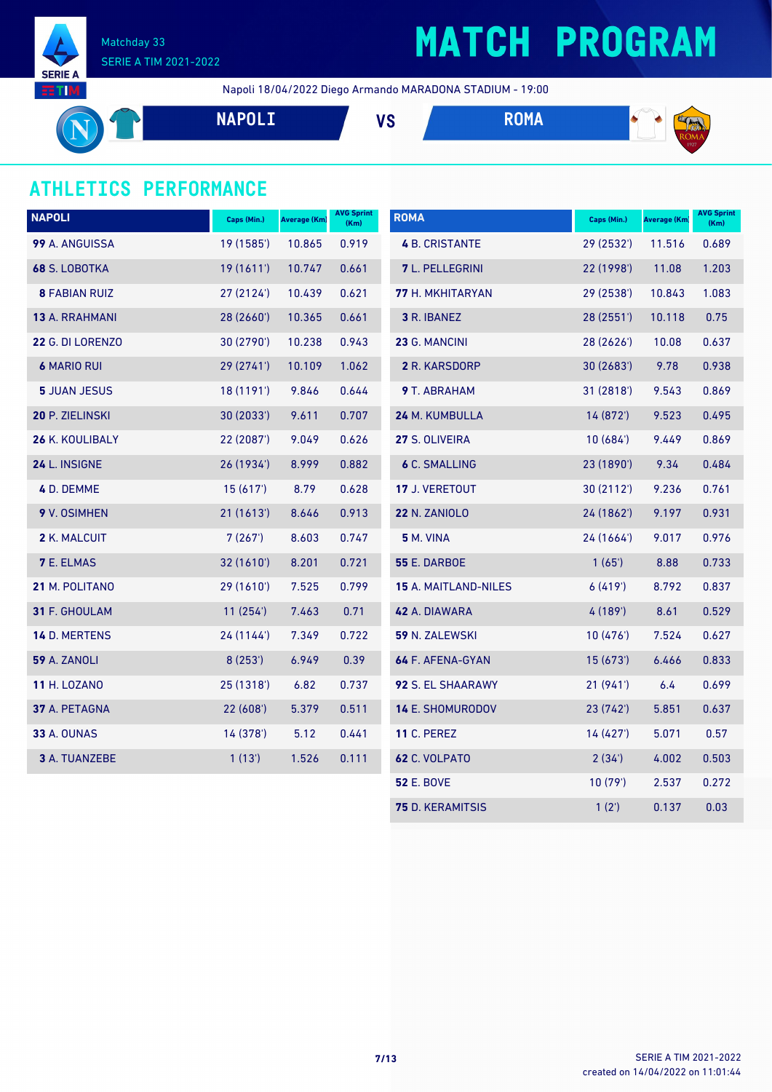

Napoli 18/04/2022 Diego Armando MARADONA STADIUM - 19:00

**NAPOLI VS ROMA** 
$$
\bullet
$$
 **PROMA**  $\bullet$   $\bullet$   $\bullet$   $\bullet$   $\bullet$   $\bullet$   $\bullet$   $\bullet$   $\bullet$   $\bullet$   $\bullet$   $\bullet$   $\bullet$   $\bullet$   $\bullet$   $\bullet$   $\bullet$   $\bullet$   $\bullet$   $\bullet$   $\bullet$   $\bullet$   $\bullet$   $\bullet$   $\bullet$   $\bullet$   $\bullet$   $\bullet$   $\bullet$   $\bullet$   $\bullet$   $\bullet$   $\bullet$   $\bullet$   $\bullet$   $\bullet$   $\bullet$   $\bullet$   $\bullet$   $\bullet$   $\bullet$   $\bullet$   $\bullet$   $\bullet$   $\bullet$   $\bullet$   $\bullet$   $\bullet$   $\bullet$   $\bullet$   $\bullet$   $\bullet$   $\bullet$   $\bullet$   $\bullet$   $\bullet$   $\bullet$   $\bullet$   $\bullet$   $\bullet$   $\bullet$   $\bullet$   $\bullet$   $\bullet$   $\bullet$   $\bullet$   $\bullet$   $\bullet$   $\bullet$   $\bullet$   $\bullet$   $\bullet$  <math display="</b>

#### **ATHLETICS PERFORMANCE**

| <b>NAPOLI</b>           | Caps (Min.) | <b>Average (Km)</b> | <b>AVG Sprint</b><br>(Km) | <b>ROMA</b>             | Caps (Min.) | Average (Km) | <b>AVG Sprint</b><br>(Km) |
|-------------------------|-------------|---------------------|---------------------------|-------------------------|-------------|--------------|---------------------------|
| 99 A. ANGUISSA          | 19 (1585')  | 10.865              | 0.919                     | <b>4 B. CRISTANTE</b>   | 29 (2532')  | 11.516       | 0.689                     |
| 68 S. LOBOTKA           | 19(1611)    | 10.747              | 0.661                     | 7 L. PELLEGRINI         | 22 (1998')  | 11.08        | 1.203                     |
| <b>8 FABIAN RUIZ</b>    | 27 (2124')  | 10.439              | 0.621                     | 77 H. MKHITARYAN        | 29 (2538')  | 10.843       | 1.083                     |
| 13 A. RRAHMANI          | 28 (2660')  | 10.365              | 0.661                     | 3 R. IBANEZ             | 28 (2551')  | 10.118       | 0.75                      |
| <b>22 G. DI LORENZO</b> | 30 (2790')  | 10.238              | 0.943                     | 23 G. MANCINI           | 28 (2626')  | 10.08        | 0.637                     |
| <b>6 MARIO RUI</b>      | 29 (2741')  | 10.109              | 1.062                     | 2 R. KARSDORP           | 30(2683)    | 9.78         | 0.938                     |
| <b>5 JUAN JESUS</b>     | 18 (1191')  | 9.846               | 0.644                     | 9 T. ABRAHAM            | 31(2818)    | 9.543        | 0.869                     |
| 20 P. ZIELINSKI         | 30 (2033')  | 9.611               | 0.707                     | 24 M. KUMBULLA          | 14 (872')   | 9.523        | 0.495                     |
| 26 K. KOULIBALY         | 22 (2087')  | 9.049               | 0.626                     | 27 S. OLIVEIRA          | 10(684)     | 9.449        | 0.869                     |
| 24 L. INSIGNE           | 26 (1934')  | 8.999               | 0.882                     | <b>6 C. SMALLING</b>    | 23 (1890')  | 9.34         | 0.484                     |
| 4 D. DEMME              | 15(617)     | 8.79                | 0.628                     | 17 J. VERETOUT          | 30(2112)    | 9.236        | 0.761                     |
| 9 V. OSIMHEN            | 21 (1613')  | 8.646               | 0.913                     | <b>22 N. ZANIOLO</b>    | 24 (1862')  | 9.197        | 0.931                     |
| 2 K. MALCUIT            | 7(267)      | 8.603               | 0.747                     | <b>5 M. VINA</b>        | 24 (1664')  | 9.017        | 0.976                     |
| <b>7 E. ELMAS</b>       | 32 (1610')  | 8.201               | 0.721                     | <b>55 E. DARBOE</b>     | 1(65)       | 8.88         | 0.733                     |
| 21 M. POLITANO          | 29 (1610')  | 7.525               | 0.799                     | 15 A. MAITLAND-NILES    | 6(419)      | 8.792        | 0.837                     |
| 31 F. GHOULAM           | 11(254)     | 7.463               | 0.71                      | 42 A. DIAWARA           | 4(189)      | 8.61         | 0.529                     |
| 14 D. MERTENS           | 24 (1144')  | 7.349               | 0.722                     | 59 N. ZALEWSKI          | 10(476)     | 7.524        | 0.627                     |
| 59 A. ZANOLI            | 8(253)      | 6.949               | 0.39                      | 64 F. AFENA-GYAN        | 15(673)     | 6.466        | 0.833                     |
| <b>11 H. LOZANO</b>     | 25 (1318')  | 6.82                | 0.737                     | 92 S. EL SHAARAWY       | 21 (941')   | 6.4          | 0.699                     |
| 37 A. PETAGNA           | 22 (608')   | 5.379               | 0.511                     | 14 E. SHOMURODOV        | 23 (742')   | 5.851        | 0.637                     |
| <b>33 A. OUNAS</b>      | 14 (378')   | 5.12                | 0.441                     | <b>11 C. PEREZ</b>      | 14 (427')   | 5.071        | 0.57                      |
| 3 A. TUANZEBE           | 1(13)       | 1.526               | 0.111                     | 62 C. VOLPATO           | 2(34)       | 4.002        | 0.503                     |
|                         |             |                     |                           | <b>52 E. BOVE</b>       | 10(79)      | 2.537        | 0.272                     |
|                         |             |                     |                           | <b>75 D. KERAMITSIS</b> | 1(2')       | 0.137        | 0.03                      |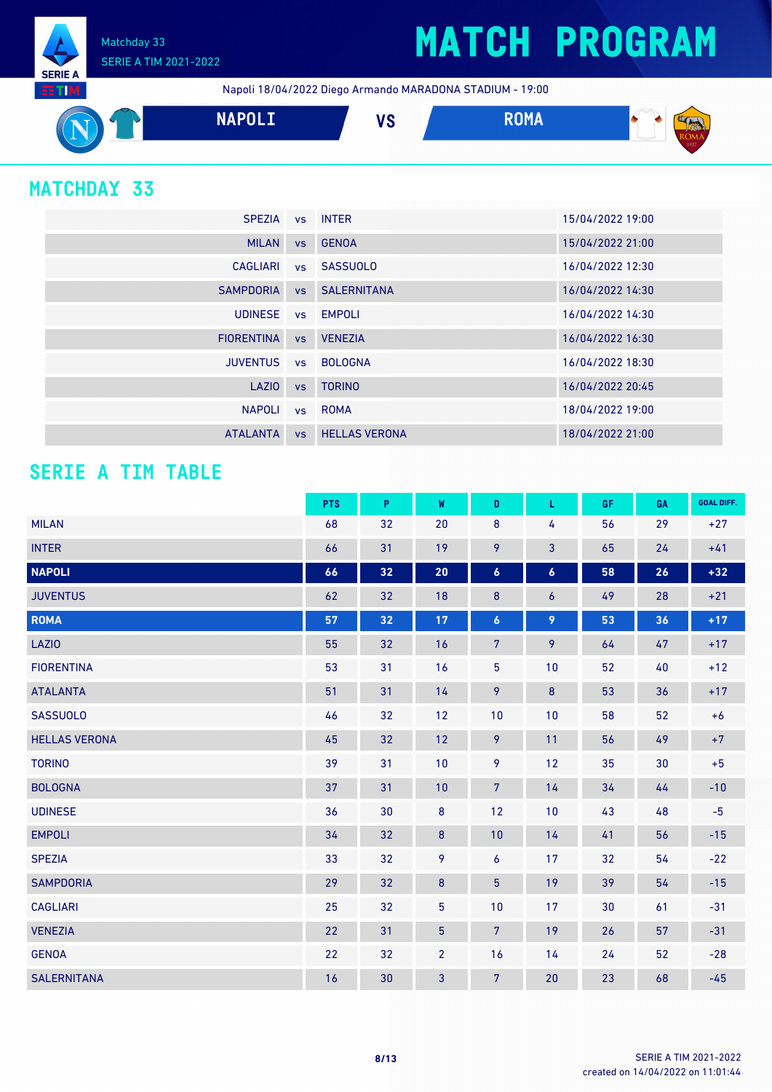

Napoli 18/04/2022 Diego Armando MARADONA STADIUM - 19:00



### **MATCHDAY 33**

| SPEZIA vs INTER   |           |                       | 15/04/2022 19:00 |
|-------------------|-----------|-----------------------|------------------|
| <b>MILAN</b>      |           | vs GENOA              | 15/04/2022 21:00 |
| CAGLIARI          |           | vs SASSUOLO           | 16/04/2022 12:30 |
| <b>SAMPDORIA</b>  |           | <b>vs</b> SALERNITANA | 16/04/2022 14:30 |
| <b>UDINESE</b>    |           | vs EMPOLI             | 16/04/2022 14:30 |
| <b>FIORENTINA</b> | VS        | <b>VENEZIA</b>        | 16/04/2022 16:30 |
| <b>JUVENTUS</b>   |           | vs BOLOGNA            | 16/04/2022 18:30 |
| LAZIO             | <b>VS</b> | <b>TORINO</b>         | 16/04/2022 20:45 |
| <b>NAPOLI</b>     |           | vs ROMA               | 18/04/2022 19:00 |
| <b>ATALANTA</b>   | <b>VS</b> | <b>HELLAS VERONA</b>  | 18/04/2022 21:00 |

#### **SERIE A TIM TABLE**

|                      | <b>PTS</b> | $\mathsf P$ | W              | D                | L                | GF | GA | <b>GOAL DIFF.</b> |
|----------------------|------------|-------------|----------------|------------------|------------------|----|----|-------------------|
| <b>MILAN</b>         | 68         | 32          | 20             | 8                | 4                | 56 | 29 | $+27$             |
| <b>INTER</b>         | 66         | 31          | 19             | 9                | 3                | 65 | 24 | $+41$             |
| <b>NAPOLI</b>        | 66         | 32          | 20             | $\boldsymbol{6}$ | $\boldsymbol{6}$ | 58 | 26 | $+32$             |
| <b>JUVENTUS</b>      | 62         | 32          | 18             | $\bf 8$          | $\boldsymbol{6}$ | 49 | 28 | $+21$             |
| <b>ROMA</b>          | 57         | 32          | 17             | $\boldsymbol{6}$ | 9                | 53 | 36 | $+17$             |
| <b>LAZIO</b>         | 55         | 32          | 16             | $\overline{7}$   | 9                | 64 | 47 | $+17$             |
| <b>FIORENTINA</b>    | 53         | 31          | 16             | 5                | 10               | 52 | 40 | $+12$             |
| <b>ATALANTA</b>      | 51         | 31          | 14             | 9                | $\bf 8$          | 53 | 36 | $+17$             |
| <b>SASSUOLO</b>      | 46         | 32          | 12             | 10               | 10               | 58 | 52 | $+6$              |
| <b>HELLAS VERONA</b> | 45         | 32          | 12             | 9                | 11               | 56 | 49 | $+7$              |
| <b>TORINO</b>        | 39         | 31          | 10             | 9                | 12               | 35 | 30 | $+5$              |
| <b>BOLOGNA</b>       | 37         | 31          | 10             | $\overline{7}$   | 14               | 34 | 44 | $-10$             |
| <b>UDINESE</b>       | 36         | 30          | $\bf 8$        | 12               | 10               | 43 | 48 | $-5$              |
| <b>EMPOLI</b>        | 34         | 32          | $\bf 8$        | 10               | 14               | 41 | 56 | $-15$             |
| <b>SPEZIA</b>        | 33         | 32          | 9              | 6                | 17               | 32 | 54 | $-22$             |
| <b>SAMPDORIA</b>     | 29         | 32          | $\bf 8$        | 5                | 19               | 39 | 54 | $-15$             |
| <b>CAGLIARI</b>      | 25         | 32          | 5              | 10               | 17               | 30 | 61 | $-31$             |
| <b>VENEZIA</b>       | 22         | 31          | 5 <sup>5</sup> | $\overline{7}$   | 19               | 26 | 57 | $-31$             |
| <b>GENOA</b>         | 22         | 32          | $\overline{2}$ | 16               | 14               | 24 | 52 | $-28$             |
| <b>SALERNITANA</b>   | 16         | 30          | 3              | $\overline{7}$   | 20               | 23 | 68 | $-45$             |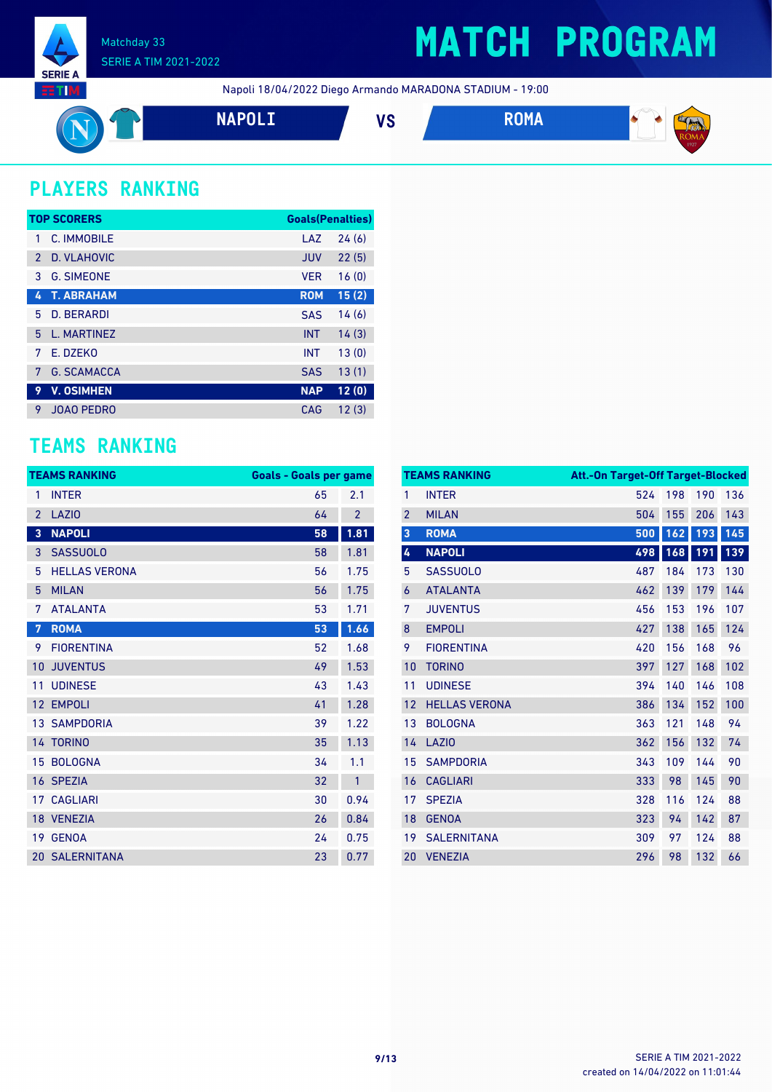

## **MATCH PROGRAM**

Napoli 18/04/2022 Diego Armando MARADONA STADIUM - 19:00



### **PLAYERS RANKING**

|               | <b>TOP SCORERS</b> | <b>Goals(Penalties)</b> |       |
|---------------|--------------------|-------------------------|-------|
|               | C. IMMOBILE        | LAZ                     | 24(6) |
| $\mathcal{P}$ | D. VLAHOVIC        | <b>JUV</b>              | 22(5) |
| 3             | <b>G. SIMEONE</b>  | <b>VER</b>              | 16(0) |
| 4             | <b>T. ABRAHAM</b>  | <b>ROM</b>              | 15(2) |
| 5             | D. BERARDI         | <b>SAS</b>              | 14(6) |
| 5             | L. MARTINEZ        | <b>INT</b>              | 14(3) |
| 7             | E. DZEKO           | <b>INT</b>              | 13(0) |
| 7             | <b>G. SCAMACCA</b> | <b>SAS</b>              | 13(1) |
| 9             | <b>V. OSIMHEN</b>  | <b>NAP</b>              | 12(0) |
| 9             | <b>JOAO PEDRO</b>  | CAG                     | 12(3) |

#### **TEAMS RANKING**

|                | <b>TEAMS RANKING</b>  | <b>Goals - Goals per game</b> |                |
|----------------|-----------------------|-------------------------------|----------------|
| 1              | <b>INTER</b>          | 65                            | 2.1            |
| $\overline{2}$ | <b>LAZIO</b>          | 64                            | $\overline{2}$ |
| 3              | <b>NAPOLI</b>         | 58                            | 1.81           |
| 3              | <b>SASSUOLO</b>       | 58                            | 1.81           |
| 5              | <b>HELLAS VERONA</b>  | 56                            | 1.75           |
| 5              | <b>MILAN</b>          | 56                            | 1.75           |
| 7              | <b>ATALANTA</b>       | 53                            | 1.71           |
| $\overline{7}$ | <b>ROMA</b>           | 53                            | 1.66           |
| 9              | <b>FIORENTINA</b>     | 52                            | 1.68           |
| 10             | <b>JUVENTUS</b>       | 49                            | 1.53           |
| 11             | <b>UDINESE</b>        | 43                            | 1.43           |
| 12             | <b>EMPOLI</b>         | 41                            | 1.28           |
|                | <b>13 SAMPDORIA</b>   | 39                            | 1.22           |
|                | 14 TORINO             | 35                            | 1.13           |
| 15             | <b>BOLOGNA</b>        | 34                            | 1.1            |
|                | 16 SPEZIA             | 32                            | 1              |
| 17             | <b>CAGLIARI</b>       | 30                            | 0.94           |
|                | 18 VENEZIA            | 26                            | 0.84           |
| 19             | <b>GENOA</b>          | 24                            | 0.75           |
|                | <b>20 SALERNITANA</b> | 23                            | 0.77           |

|                | <b>TEAMS RANKING</b> | Att.-On Target-Off Target-Blocked |     |     |     |
|----------------|----------------------|-----------------------------------|-----|-----|-----|
| 1              | <b>INTER</b>         | 524                               | 198 | 190 | 136 |
| $\overline{2}$ | <b>MILAN</b>         | 504                               | 155 | 206 | 143 |
| 3              | <b>ROMA</b>          | 500                               | 162 | 193 | 145 |
| 4              | <b>NAPOLI</b>        | 498                               | 168 | 191 | 139 |
| 5              | <b>SASSUOLO</b>      | 487                               | 184 | 173 | 130 |
| 6              | <b>ATALANTA</b>      | 462                               | 139 | 179 | 144 |
| 7              | <b>JUVENTUS</b>      | 456                               | 153 | 196 | 107 |
| 8              | <b>EMPOLI</b>        | 427                               | 138 | 165 | 124 |
| 9              | <b>FIORENTINA</b>    | 420                               | 156 | 168 | 96  |
| 10             | <b>TORINO</b>        | 397                               | 127 | 168 | 102 |
| 11             | <b>UDINESE</b>       | 394                               | 140 | 146 | 108 |
| 12             | <b>HELLAS VERONA</b> | 386                               | 134 | 152 | 100 |
| 13             | <b>BOLOGNA</b>       | 363                               | 121 | 148 | 94  |
| 14             | <b>LAZIO</b>         | 362                               | 156 | 132 | 74  |
| 15             | <b>SAMPDORIA</b>     | 343                               | 109 | 144 | 90  |
| 16             | <b>CAGLIARI</b>      | 333                               | 98  | 145 | 90  |
| 17             | <b>SPEZIA</b>        | 328                               | 116 | 124 | 88  |
| 18             | <b>GENOA</b>         | 323                               | 94  | 142 | 87  |
| 19             | <b>SALERNITANA</b>   | 309                               | 97  | 124 | 88  |
| 20             | <b>VENEZIA</b>       | 296                               | 98  | 132 | 66  |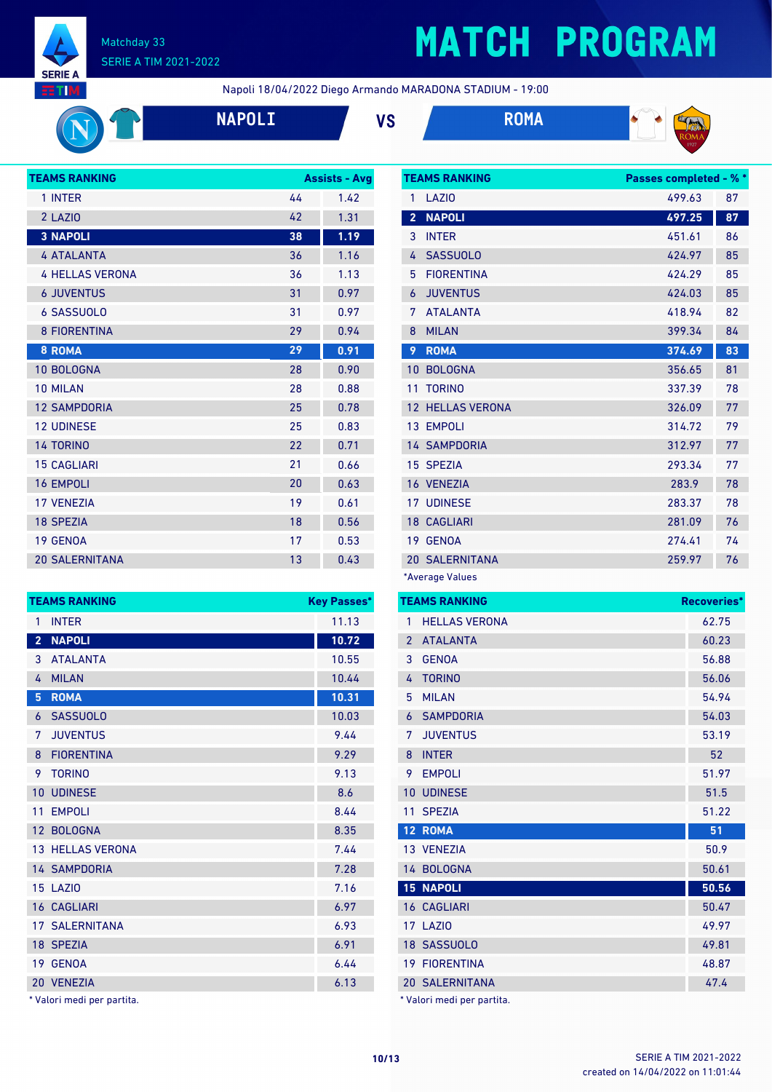

# **MATCH PROGRAM**

Napoli 18/04/2022 Diego Armando MARADONA STADIUM - 19:00





| <b>TEAMS RANKING</b>   |    | <b>Assists - Avg</b> |  |
|------------------------|----|----------------------|--|
| 1 INTER                | 44 | 1.42                 |  |
| 2 LAZIO                | 42 | 1.31                 |  |
| <b>3 NAPOLI</b>        | 38 | 1.19                 |  |
| <b>4 ATALANTA</b>      | 36 | 1.16                 |  |
| <b>4 HELLAS VERONA</b> | 36 | 1.13                 |  |
| <b>6 JUVENTUS</b>      | 31 | 0.97                 |  |
| <b>6 SASSUOLO</b>      | 31 | 0.97                 |  |
| <b>8 FIORENTINA</b>    | 29 | 0.94                 |  |
| <b>8 ROMA</b>          | 29 | 0.91                 |  |
| 10 BOLOGNA             | 28 | 0.90                 |  |
| <b>10 MILAN</b>        | 28 | 0.88                 |  |
| <b>12 SAMPDORIA</b>    | 25 | 0.78                 |  |
| <b>12 UDINESE</b>      | 25 | 0.83                 |  |
| <b>14 TORINO</b>       | 22 | 0.71                 |  |
| <b>15 CAGLIARI</b>     | 21 | 0.66                 |  |
| <b>16 EMPOLI</b>       | 20 | 0.63                 |  |
| <b>17 VFNF7IA</b>      | 19 | 0.61                 |  |
| <b>18 SPEZIA</b>       | 18 | 0.56                 |  |
| <b>19 GENOA</b>        | 17 | 0.53                 |  |
| <b>20 SALERNITANA</b>  | 13 | 0.43                 |  |

|                         | <b>TEAMS RANKING</b>    | <b>Key Passes*</b> |
|-------------------------|-------------------------|--------------------|
| 1                       | <b>INTER</b>            | 11.13              |
| $\overline{\mathbf{2}}$ | <b>NAPOLI</b>           | 10.72              |
| 3                       | <b>ATALANTA</b>         | 10.55              |
| 4                       | <b>MILAN</b>            | 10.44              |
| 5                       | <b>ROMA</b>             | 10.31              |
| 6                       | <b>SASSUOLO</b>         | 10.03              |
| 7                       | <b>JUVENTUS</b>         | 9.44               |
| 8                       | <b>FIORENTINA</b>       | 9.29               |
| 9                       | <b>TORINO</b>           | 9.13               |
| 10                      | <b>UDINESE</b>          | 8.6                |
| 11                      | <b>EMPOLI</b>           | 8.44               |
| 12 <sup>2</sup>         | <b>BOLOGNA</b>          | 8.35               |
|                         | <b>13 HELLAS VERONA</b> | 7.44               |
|                         | <b>14 SAMPDORIA</b>     | 7.28               |
|                         | 15 LAZIO                | 7.16               |
|                         | <b>16 CAGLIARI</b>      | 6.97               |
|                         | <b>17 SALERNITANA</b>   | 6.93               |
|                         | 18 SPEZIA               | 6.91               |
| 19                      | <b>GENOA</b>            | 6.44               |
|                         | 20 VENEZIA              | 6.13               |

|  |  |  |  | * Valori medi per partita. |
|--|--|--|--|----------------------------|
|--|--|--|--|----------------------------|

| <b>TEAMS RANKING</b><br><b>Passes completed - % *</b> |                       |        |    |
|-------------------------------------------------------|-----------------------|--------|----|
| 1                                                     | LAZI <sub>0</sub>     | 499.63 | 87 |
| $\overline{2}$                                        | <b>NAPOLI</b>         | 497.25 | 87 |
| 3                                                     | <b>INTER</b>          | 451.61 | 86 |
| 4                                                     | <b>SASSUOLO</b>       | 424.97 | 85 |
| 5                                                     | <b>FIORENTINA</b>     | 424.29 | 85 |
| 6                                                     | <b>JUVENTUS</b>       | 424.03 | 85 |
| 7                                                     | <b>ATALANTA</b>       | 418.94 | 82 |
| 8                                                     | <b>MILAN</b>          | 399.34 | 84 |
| 9                                                     | <b>ROMA</b>           | 374.69 | 83 |
| 10                                                    | <b>BOLOGNA</b>        | 356.65 | 81 |
| 11                                                    | <b>TORINO</b>         | 337.39 | 78 |
| 12                                                    | <b>HELLAS VERONA</b>  | 326.09 | 77 |
|                                                       | 13 EMPOLI             | 314.72 | 79 |
|                                                       | <b>14 SAMPDORIA</b>   | 312.97 | 77 |
|                                                       | 15 SPEZIA             | 293.34 | 77 |
|                                                       | 16 VENEZIA            | 283.9  | 78 |
|                                                       | <b>17 UDINESE</b>     | 283.37 | 78 |
|                                                       | <b>18 CAGLIARI</b>    | 281.09 | 76 |
|                                                       | 19 GENOA              | 274.41 | 74 |
|                                                       | <b>20 SALERNITANA</b> | 259.97 | 76 |
|                                                       | *Average Values       |        |    |

|                | <b>TEAMS RANKING</b>       | Recoveries* |
|----------------|----------------------------|-------------|
| 1              | <b>HELLAS VERONA</b>       | 62.75       |
| $\overline{2}$ | <b>ATALANTA</b>            | 60.23       |
| 3              | <b>GENOA</b>               | 56.88       |
| 4              | <b>TORINO</b>              | 56.06       |
| 5              | <b>MILAN</b>               | 54.94       |
| 6              | <b>SAMPDORIA</b>           | 54.03       |
| 7              | <b>JUVENTUS</b>            | 53.19       |
| 8              | <b>INTER</b>               | 52          |
| 9              | <b>EMPOLI</b>              | 51.97       |
| 10             | <b>UDINESE</b>             | 51.5        |
| 11             | <b>SPEZIA</b>              | 51.22       |
|                | <b>12 ROMA</b>             | 51          |
|                | 13 VENEZIA                 | 50.9        |
|                | 14 BOLOGNA                 | 50.61       |
|                | <b>15 NAPOLI</b>           | 50.56       |
|                | <b>16 CAGLIARI</b>         | 50.47       |
|                | 17 LAZIO                   | 49.97       |
|                | 18 SASSUOLO                | 49.81       |
|                | <b>19 FIORENTINA</b>       | 48.87       |
|                | <b>20 SALERNITANA</b>      | 47.4        |
|                | * Valori medi per partita. |             |

created on 14/04/2022 on 11:01:44 **10/13** SERIE A TIM 2021-2022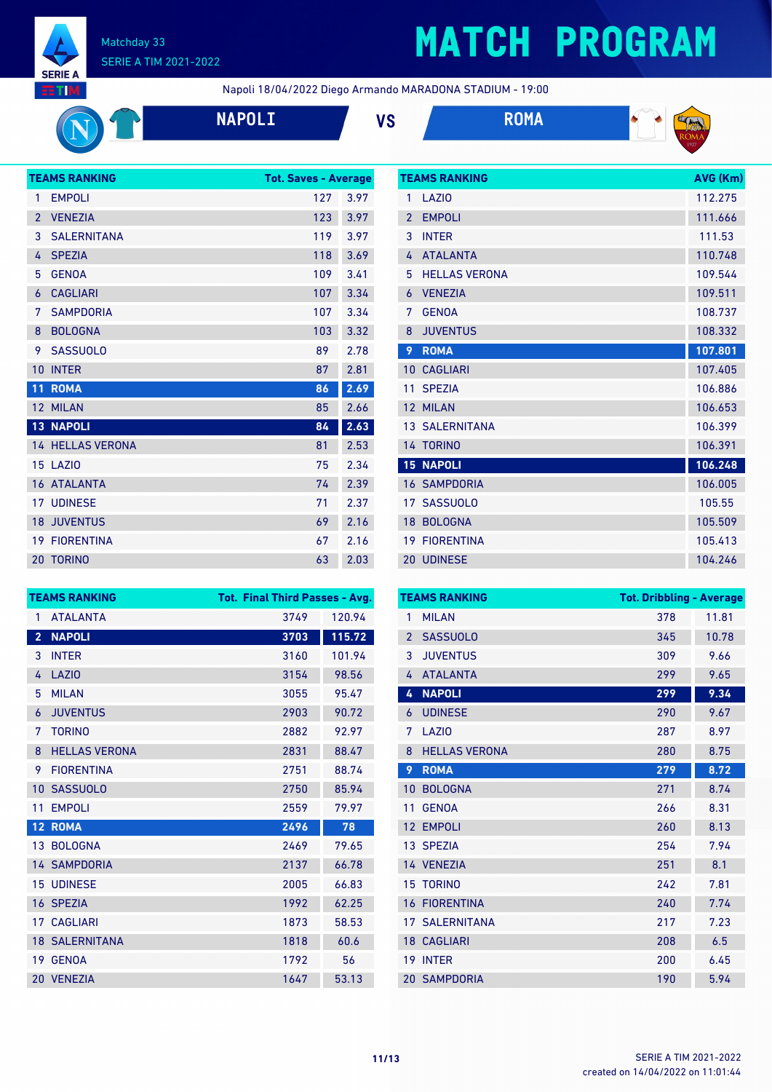

# **MATCH PROGRAM**

Napoli 18/04/2022 Diego Armando MARADONA STADIUM - 19:00

| <b>NAPOI</b> |
|--------------|
|              |







|                 | <b>TEAMS RANKING</b> | <b>Tot. Saves - Average</b> |      |
|-----------------|----------------------|-----------------------------|------|
| 1               | <b>EMPOLI</b>        | 127                         | 3.97 |
| $\overline{2}$  | <b>VENEZIA</b>       | 123                         | 3.97 |
| 3               | <b>SALERNITANA</b>   | 119                         | 3.97 |
| 4               | <b>SPEZIA</b>        | 118                         | 3.69 |
| 5               | <b>GENOA</b>         | 109                         | 3.41 |
| 6               | <b>CAGLIARI</b>      | 107                         | 3.34 |
| 7               | <b>SAMPDORIA</b>     | 107                         | 3.34 |
| 8               | <b>BOLOGNA</b>       | 103                         | 3.32 |
| 9               | <b>SASSUOLO</b>      | 89                          | 2.78 |
| 10              | <b>INTER</b>         | 87                          | 2.81 |
| $\overline{1}1$ | <b>ROMA</b>          | 86                          | 2.69 |
|                 | 12 MILAN             | 85                          | 2.66 |
|                 | <b>13 NAPOLI</b>     | 84                          | 2.63 |
|                 | 14 HELLAS VERONA     | 81                          | 2.53 |
|                 | 15 LAZIO             | 75                          | 2.34 |
|                 | <b>16 ATALANTA</b>   | 74                          | 2.39 |
|                 | <b>17 UDINESE</b>    | 71                          | 2.37 |
| 18              | <b>JUVENTUS</b>      | 69                          | 2.16 |
|                 | <b>19 FIORENTINA</b> | 67                          | 2.16 |
|                 | <b>20 TORINO</b>     | 63                          | 2.03 |

|                 | <b>TEAMS RANKING</b>  | AVG (Km) |
|-----------------|-----------------------|----------|
| 1               | LAZIO                 | 112.275  |
| $\mathfrak{p}$  | <b>EMPOLI</b>         | 111.666  |
| 3               | <b>INTER</b>          | 111.53   |
| 4               | <b>ATALANTA</b>       | 110.748  |
| 5               | <b>HELLAS VERONA</b>  | 109.544  |
| 6               | <b>VENEZIA</b>        | 109.511  |
| 7               | <b>GENOA</b>          | 108.737  |
| 8               | <b>JUVENTUS</b>       | 108.332  |
| 9               | <b>ROMA</b>           | 107.801  |
| $10-1$          | <b>CAGLIARI</b>       | 107.405  |
| 11              | <b>SPEZIA</b>         | 106.886  |
| 12 <sup>°</sup> | <b>MILAN</b>          | 106.653  |
|                 | <b>13 SALERNITANA</b> | 106.399  |
|                 | 14 TORINO             | 106.391  |
|                 | <b>15 NAPOLI</b>      | 106.248  |
|                 | <b>16 SAMPDORIA</b>   | 106.005  |
|                 | 17 SASSUOLO           | 105.55   |
| 18              | <b>BOLOGNA</b>        | 105.509  |
|                 | <b>19 FIORENTINA</b>  | 105.413  |
|                 | 20 UDINESE            | 104.246  |

|                 | <b>TEAMS RANKING</b>  | <b>Tot. Final Third Passes - Avg.</b> |        |
|-----------------|-----------------------|---------------------------------------|--------|
| 1               | <b>ATALANTA</b>       | 3749                                  | 120.94 |
| $\overline{2}$  | <b>NAPOLI</b>         | 3703                                  | 115.72 |
| 3               | <b>INTER</b>          | 3160                                  | 101.94 |
| 4               | LAZI <sub>0</sub>     | 3154                                  | 98.56  |
| 5               | <b>MILAN</b>          | 3055                                  | 95.47  |
| 6               | <b>JUVENTUS</b>       | 2903                                  | 90.72  |
| 7               | <b>TORINO</b>         | 2882                                  | 92.97  |
| 8               | <b>HELLAS VERONA</b>  | 2831                                  | 88.47  |
| 9               | <b>FIORENTINA</b>     | 2751                                  | 88.74  |
| 10              | <b>SASSUOLO</b>       | 2750                                  | 85.94  |
| 11              | <b>EMPOLI</b>         | 2559                                  | 79.97  |
| 12 <sup>2</sup> | <b>ROMA</b>           | 2496                                  | 78     |
|                 | 13 BOLOGNA            | 2469                                  | 79.65  |
|                 | <b>14 SAMPDORIA</b>   | 2137                                  | 66.78  |
|                 | <b>15 UDINESE</b>     | 2005                                  | 66.83  |
|                 | 16 SPEZIA             | 1992                                  | 62.25  |
| 17 <sup>1</sup> | <b>CAGLIARI</b>       | 1873                                  | 58.53  |
|                 | <b>18 SALERNITANA</b> | 1818                                  | 60.6   |
|                 | 19 GENOA              | 1792                                  | 56     |
|                 | 20 VENEZIA            | 1647                                  | 53.13  |

| <b>TEAMS RANKING</b> |                      | <b>Tot. Dribbling - Average</b> |       |  |
|----------------------|----------------------|---------------------------------|-------|--|
| 1                    | <b>MILAN</b>         | 378                             | 11.81 |  |
| $\overline{2}$       | <b>SASSUOLO</b>      | 345                             | 10.78 |  |
| 3                    | <b>JUVENTUS</b>      | 309                             | 9.66  |  |
| 4                    | <b>ATALANTA</b>      | 299                             | 9.65  |  |
| 4                    | <b>NAPOLI</b>        | 299                             | 9.34  |  |
| 6                    | <b>UDINESE</b>       | 290                             | 9.67  |  |
| 7                    | LAZI <sub>0</sub>    | 287                             | 8.97  |  |
| 8                    | <b>HELLAS VERONA</b> | 280                             | 8.75  |  |
| 9                    | <b>ROMA</b>          | 279                             | 8.72  |  |
| 10                   | <b>BOLOGNA</b>       | 271                             | 8.74  |  |
| 11                   | <b>GENOA</b>         | 266                             | 8.31  |  |
| 12                   | <b>EMPOLI</b>        | 260                             | 8.13  |  |
|                      | 13 SPEZIA            | 254                             | 7.94  |  |
|                      | 14 VENEZIA           | 251                             | 8.1   |  |
| 15                   | <b>TORINO</b>        | 242                             | 7.81  |  |
| 16                   | <b>FIORENTINA</b>    | 240                             | 7.74  |  |
| 17                   | <b>SALERNITANA</b>   | 217                             | 7.23  |  |
| 18 <sup>°</sup>      | <b>CAGLIARI</b>      | 208                             | 6.5   |  |
| 19                   | <b>INTER</b>         | 200                             | 6.45  |  |
|                      | 20 SAMPDORIA         | 190                             | 5.94  |  |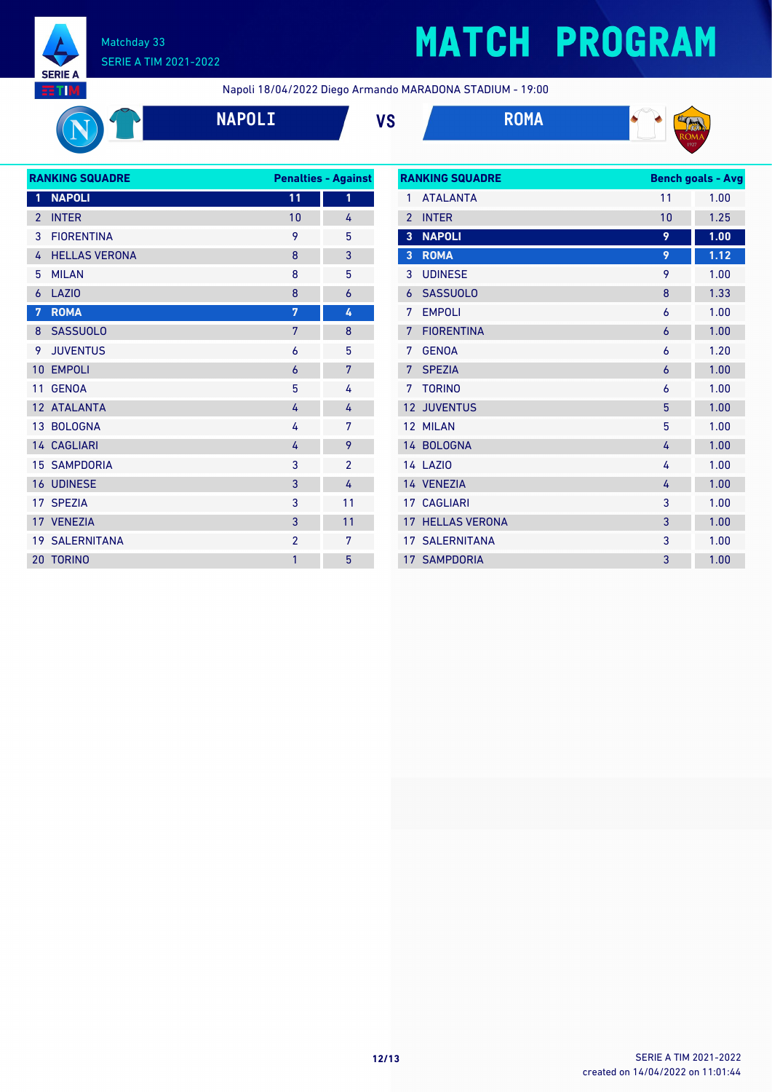

# **MATCH PROGRAM**

Napoli 18/04/2022 Diego Armando MARADONA STADIUM - 19:00









| <b>RANKING SQUADRE</b> |                       | <b>Penalties - Against</b> |                |
|------------------------|-----------------------|----------------------------|----------------|
| $\mathbf{1}$           | <b>NAPOLI</b>         | 11                         | 1              |
| $\overline{2}$         | <b>INTER</b>          | 10                         | 4              |
| 3                      | <b>FIORENTINA</b>     | 9                          | 5              |
| 4                      | <b>HELLAS VERONA</b>  | 8                          | 3              |
| 5                      | <b>MILAN</b>          | 8                          | 5              |
| 6                      | <b>LAZIO</b>          | 8                          | 6              |
| 7                      | <b>ROMA</b>           | 7                          | 4              |
| 8                      | <b>SASSUOLO</b>       | 7                          | 8              |
| 9                      | <b>JUVENTUS</b>       | 6                          | 5              |
| 10                     | <b>EMPOLI</b>         | 6                          | 7              |
| 11                     | <b>GENOA</b>          | 5                          | 4              |
|                        | 12 ATALANTA           | 4                          | 4              |
|                        | 13 BOLOGNA            | 4                          | 7              |
|                        | <b>14 CAGLIARI</b>    | 4                          | 9              |
|                        | <b>15 SAMPDORIA</b>   | 3                          | $\overline{2}$ |
|                        | <b>16 UDINESE</b>     | 3                          | 4              |
|                        | 17 SPEZIA             | 3                          | 11             |
|                        | 17 VENEZIA            | 3                          | 11             |
|                        | <b>19 SALERNITANA</b> | $\overline{2}$             | 7              |
| 20                     | <b>TORINO</b>         | $\mathbf{1}$               | 5              |
|                        |                       |                            |                |

| <b>RANKING SQUADRE</b> |                       | <b>Bench goals - Avg</b> |      |
|------------------------|-----------------------|--------------------------|------|
| 1                      | <b>ATALANTA</b>       | 11                       | 1.00 |
| $\overline{2}$         | <b>INTER</b>          | 10                       | 1.25 |
| $\overline{3}$         | <b>NAPOLI</b>         | 9                        | 1.00 |
| 3                      | <b>ROMA</b>           | 9                        | 1.12 |
| 3                      | <b>UDINESE</b>        | 9                        | 1.00 |
| 6                      | <b>SASSUOLO</b>       | 8                        | 1.33 |
| 7                      | <b>EMPOLI</b>         | 6                        | 1.00 |
| 7                      | <b>FIORENTINA</b>     | $\overline{6}$           | 1.00 |
| 7                      | <b>GENOA</b>          | 6                        | 1.20 |
| 7                      | <b>SPEZIA</b>         | 6                        | 1.00 |
| 7                      | <b>TORINO</b>         | 6                        | 1.00 |
| 12                     | <b>JUVENTUS</b>       | 5                        | 1.00 |
| 12                     | <b>MILAN</b>          | 5                        | 1.00 |
|                        | 14 BOLOGNA            | 4                        | 1.00 |
|                        | <b>14 LAZIO</b>       | 4                        | 1.00 |
|                        | 14 VENEZIA            | 4                        | 1.00 |
|                        | 17 CAGLIARI           | 3                        | 1.00 |
| 17 <sup>2</sup>        | <b>HELLAS VERONA</b>  | 3                        | 1.00 |
|                        | <b>17 SALERNITANA</b> | 3                        | 1.00 |
|                        | <b>17 SAMPDORIA</b>   | 3                        | 1.00 |